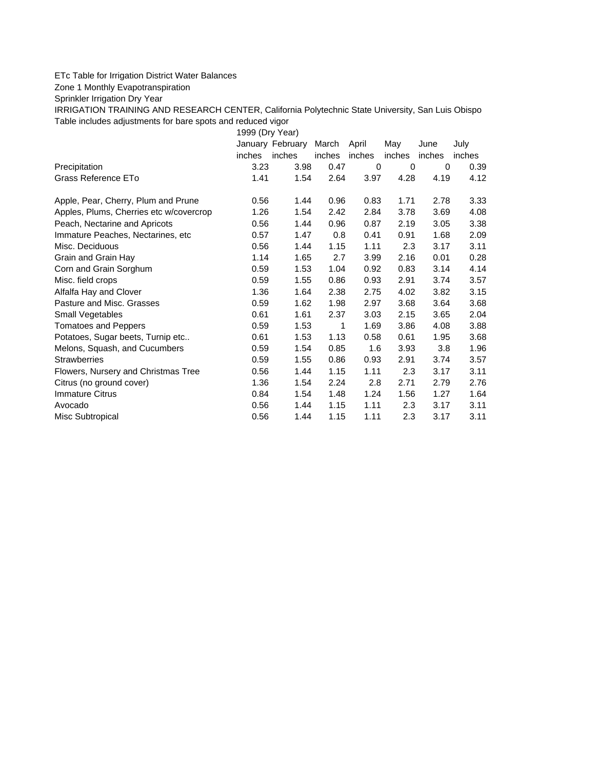## ETc Table for Irrigation District Water Balances

Zone 1 Monthly Evapotranspiration

Sprinkler Irrigation Dry Year

IRRIGATION TRAINING AND RESEARCH CENTER, California Polytechnic State University, San Luis Obispo Table includes adjustments for bare spots and reduced vigor

1999 (Dry Year)

|                                         |        | January February | March  | April  | May    | June   | July   |
|-----------------------------------------|--------|------------------|--------|--------|--------|--------|--------|
|                                         | inches | inches           | inches | inches | inches | inches | inches |
| Precipitation                           | 3.23   | 3.98             | 0.47   | 0      | 0      | 0      | 0.39   |
| Grass Reference ETo                     | 1.41   | 1.54             | 2.64   | 3.97   | 4.28   | 4.19   | 4.12   |
| Apple, Pear, Cherry, Plum and Prune     | 0.56   | 1.44             | 0.96   | 0.83   | 1.71   | 2.78   | 3.33   |
| Apples, Plums, Cherries etc w/covercrop | 1.26   | 1.54             | 2.42   | 2.84   | 3.78   | 3.69   | 4.08   |
| Peach, Nectarine and Apricots           | 0.56   | 1.44             | 0.96   | 0.87   | 2.19   | 3.05   | 3.38   |
| Immature Peaches, Nectarines, etc.      | 0.57   | 1.47             | 0.8    | 0.41   | 0.91   | 1.68   | 2.09   |
| Misc. Deciduous                         | 0.56   | 1.44             | 1.15   | 1.11   | 2.3    | 3.17   | 3.11   |
| Grain and Grain Hay                     | 1.14   | 1.65             | 2.7    | 3.99   | 2.16   | 0.01   | 0.28   |
| Corn and Grain Sorghum                  | 0.59   | 1.53             | 1.04   | 0.92   | 0.83   | 3.14   | 4.14   |
| Misc. field crops                       | 0.59   | 1.55             | 0.86   | 0.93   | 2.91   | 3.74   | 3.57   |
| Alfalfa Hay and Clover                  | 1.36   | 1.64             | 2.38   | 2.75   | 4.02   | 3.82   | 3.15   |
| Pasture and Misc. Grasses               | 0.59   | 1.62             | 1.98   | 2.97   | 3.68   | 3.64   | 3.68   |
| Small Vegetables                        | 0.61   | 1.61             | 2.37   | 3.03   | 2.15   | 3.65   | 2.04   |
| <b>Tomatoes and Peppers</b>             | 0.59   | 1.53             | 1      | 1.69   | 3.86   | 4.08   | 3.88   |
| Potatoes, Sugar beets, Turnip etc       | 0.61   | 1.53             | 1.13   | 0.58   | 0.61   | 1.95   | 3.68   |
| Melons, Squash, and Cucumbers           | 0.59   | 1.54             | 0.85   | 1.6    | 3.93   | 3.8    | 1.96   |
| <b>Strawberries</b>                     | 0.59   | 1.55             | 0.86   | 0.93   | 2.91   | 3.74   | 3.57   |
| Flowers, Nursery and Christmas Tree     | 0.56   | 1.44             | 1.15   | 1.11   | 2.3    | 3.17   | 3.11   |
| Citrus (no ground cover)                | 1.36   | 1.54             | 2.24   | 2.8    | 2.71   | 2.79   | 2.76   |
| <b>Immature Citrus</b>                  | 0.84   | 1.54             | 1.48   | 1.24   | 1.56   | 1.27   | 1.64   |
| Avocado                                 | 0.56   | 1.44             | 1.15   | 1.11   | 2.3    | 3.17   | 3.11   |
| Misc Subtropical                        | 0.56   | 1.44             | 1.15   | 1.11   | 2.3    | 3.17   | 3.11   |